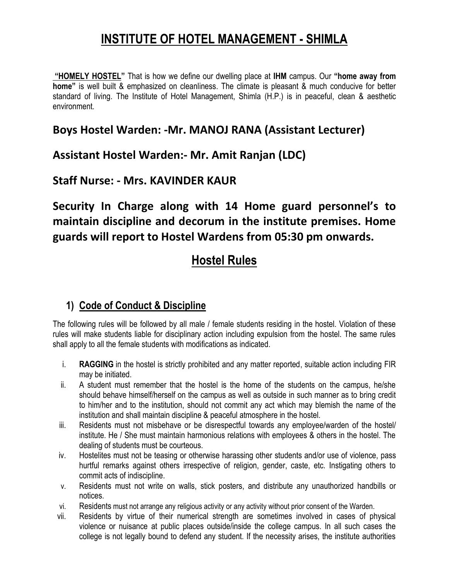## **INSTITUTE OF HOTEL MANAGEMENT - SHIMLA**

**"HOMELY HOSTEL"** That is how we define our dwelling place at **IHM** campus. Our **"home away from home"** is well built & emphasized on cleanliness. The climate is pleasant & much conducive for better standard of living. The Institute of Hotel Management, Shimla (H.P.) is in peaceful, clean & aesthetic environment.

#### **Boys Hostel Warden: -Mr. MANOJ RANA (Assistant Lecturer)**

#### **Assistant Hostel Warden:- Mr. Amit Ranjan (LDC)**

#### **Staff Nurse: - Mrs. KAVINDER KAUR**

**Security In Charge along with 14 Home guard personnel's to maintain discipline and decorum in the institute premises. Home guards will report to Hostel Wardens from 05:30 pm onwards.**

## **Hostel Rules**

#### **1) Code of Conduct & Discipline**

The following rules will be followed by all male / female students residing in the hostel. Violation of these rules will make students liable for disciplinary action including expulsion from the hostel. The same rules shall apply to all the female students with modifications as indicated.

- i. **RAGGING** in the hostel is strictly prohibited and any matter reported, suitable action including FIR may be initiated.
- ii. A student must remember that the hostel is the home of the students on the campus, he/she should behave himself/herself on the campus as well as outside in such manner as to bring credit to him/her and to the institution, should not commit any act which may blemish the name of the institution and shall maintain discipline & peaceful atmosphere in the hostel.
- iii. Residents must not misbehave or be disrespectful towards any employee/warden of the hostel/ institute. He / She must maintain harmonious relations with employees & others in the hostel. The dealing of students must be courteous.
- iv. Hostelites must not be teasing or otherwise harassing other students and/or use of violence, pass hurtful remarks against others irrespective of religion, gender, caste, etc. Instigating others to commit acts of indiscipline.
- v. Residents must not write on walls, stick posters, and distribute any unauthorized handbills or notices.
- vi. Residents must not arrange any religious activity or any activity without prior consent of the Warden.
- vii. Residents by virtue of their numerical strength are sometimes involved in cases of physical violence or nuisance at public places outside/inside the college campus. In all such cases the college is not legally bound to defend any student. If the necessity arises, the institute authorities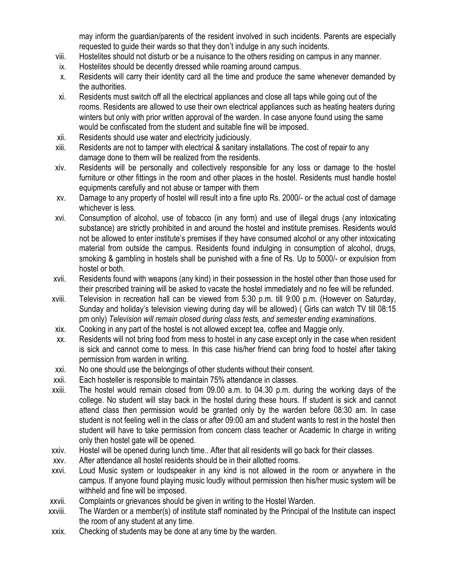may inform the guardian/parents of the resident involved in such incidents. Parents are especially requested to guide their wards so that they don't indulge in any such incidents.

- viii. Hostelites should not disturb or be a nuisance to the others residing on campus in any manner.
- ix. Hostelites should be decently dressed while roaming around campus.
- x. Residents will carry their identity card all the time and produce the same whenever demanded by the authorities.
- xi. Residents must switch off all the electrical appliances and close all taps while going out of the rooms. Residents are allowed to use their own electrical appliances such as heating heaters during winters but only with prior written approval of the warden. In case anyone found using the same would be confiscated from the student and suitable fine will be imposed.
- xii. Residents should use water and electricity judiciously.
- xiii. Residents are not to tamper with electrical & sanitary installations. The cost of repair to any damage done to them will be realized from the residents.
- xiv. Residents will be personally and collectively responsible for any loss or damage to the hostel furniture or other fittings in the room and other places in the hostel. Residents must handle hostel equipments carefully and not abuse or tamper with them
- xv. Damage to any property of hostel will result into a fine upto Rs. 2000/- or the actual cost of damage whichever is less.
- xvi. Consumption of alcohol, use of tobacco (in any form) and use of illegal drugs (any intoxicating substance) are strictly prohibited in and around the hostel and institute premises. Residents would not be allowed to enter institute's premises if they have consumed alcohol or any other intoxicating material from outside the campus. Residents found indulging in consumption of alcohol, drugs, smoking & gambling in hostels shall be punished with a fine of Rs. Up to 5000/- or expulsion from hostel or both.
- xvii. Residents found with weapons (any kind) in their possession in the hostel other than those used for their prescribed training will be asked to vacate the hostel immediately and no fee will be refunded.
- xviii. Television in recreation hall can be viewed from 5:30 p.m. till 9:00 p.m. (However on Saturday, Sunday and holiday's television viewing during day will be allowed) ( Girls can watch TV till 08:15 pm only) *Television will remain closed during class tests, and semester ending examination*s.
- xix. Cooking in any part of the hostel is not allowed except tea, coffee and Maggie only.
- xx. Residents will not bring food from mess to hostel in any case except only in the case when resident is sick and cannot come to mess. In this case his/her friend can bring food to hostel after taking permission from warden in writing.
- xxi. No one should use the belongings of other students without their consent.
- xxii. Each hosteller is responsible to maintain 75% attendance in classes.
- xxiii. The hostel would remain closed from 09.00 a.m. to 04.30 p.m. during the working days of the college. No student will stay back in the hostel during these hours. If student is sick and cannot attend class then permission would be granted only by the warden before 08:30 am. In case student is not feeling well in the class or after 09:00 am and student wants to rest in the hostel then student will have to take permission from concern class teacher or Academic In charge in writing only then hostel gate will be opened.
- xxiv. Hostel will be opened during lunch time.. After that all residents will go back for their classes.
- xxv. After attendance all hostel residents should be in their allotted rooms.
- xxvi. Loud Music system or loudspeaker in any kind is not allowed in the room or anywhere in the campus. If anyone found playing music loudly without permission then his/her music system will be withheld and fine will be imposed.
- xxvii. Complaints or grievances should be given in writing to the Hostel Warden.
- xxviii. The Warden or a member(s) of institute staff nominated by the Principal of the Institute can inspect the room of any student at any time.
- xxix. Checking of students may be done at any time by the warden.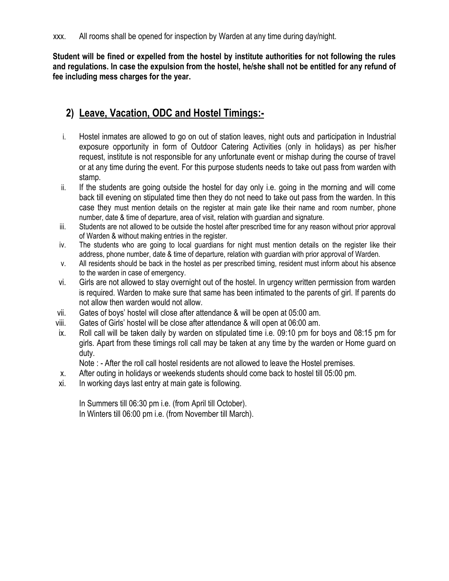**Student will be fined or expelled from the hostel by institute authorities for not following the rules and regulations. In case the expulsion from the hostel, he/she shall not be entitled for any refund of fee including mess charges for the year.**

### **2) Leave, Vacation, ODC and Hostel Timings:-**

- i. Hostel inmates are allowed to go on out of station leaves, night outs and participation in Industrial exposure opportunity in form of Outdoor Catering Activities (only in holidays) as per his/her request, institute is not responsible for any unfortunate event or mishap during the course of travel or at any time during the event. For this purpose students needs to take out pass from warden with stamp.
- ii. If the students are going outside the hostel for day only i.e. going in the morning and will come back till evening on stipulated time then they do not need to take out pass from the warden. In this case they must mention details on the register at main gate like their name and room number, phone number, date & time of departure, area of visit, relation with guardian and signature.
- iii. Students are not allowed to be outside the hostel after prescribed time for any reason without prior approval of Warden & without making entries in the register.
- iv. The students who are going to local guardians for night must mention details on the register like their address, phone number, date & time of departure, relation with guardian with prior approval of Warden.
- v. All residents should be back in the hostel as per prescribed timing, resident must inform about his absence to the warden in case of emergency.
- vi. Girls are not allowed to stay overnight out of the hostel. In urgency written permission from warden is required. Warden to make sure that same has been intimated to the parents of girl. If parents do not allow then warden would not allow.
- vii. Gates of boys' hostel will close after attendance & will be open at 05:00 am.
- viii. Gates of Girls' hostel will be close after attendance & will open at 06:00 am.
- ix. Roll call will be taken daily by warden on stipulated time i.e. 09:10 pm for boys and 08:15 pm for girls. Apart from these timings roll call may be taken at any time by the warden or Home guard on duty.

Note : - After the roll call hostel residents are not allowed to leave the Hostel premises.

- x. After outing in holidays or weekends students should come back to hostel till 05:00 pm.
- xi. In working days last entry at main gate is following.

In Summers till 06:30 pm i.e. (from April till October). In Winters till 06:00 pm i.e. (from November till March).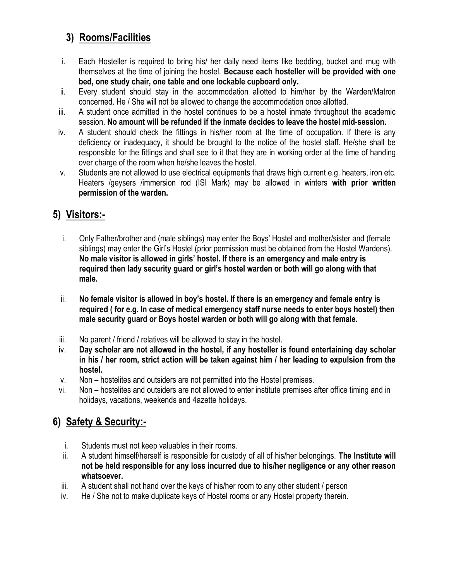### **3) Rooms/Facilities**

- i. Each Hosteller is required to bring his/ her daily need items like bedding, bucket and mug with themselves at the time of joining the hostel. **Because each hosteller will be provided with one bed, one study chair, one table and one lockable cupboard only.**
- ii. Every student should stay in the accommodation allotted to him/her by the Warden/Matron concerned. He / She will not be allowed to change the accommodation once allotted.
- iii. A student once admitted in the hostel continues to be a hostel inmate throughout the academic session. **No amount will be refunded if the inmate decides to leave the hostel mid-session.**
- iv. A student should check the fittings in his/her room at the time of occupation. If there is any deficiency or inadequacy, it should be brought to the notice of the hostel staff. He/she shall be responsible for the fittings and shall see to it that they are in working order at the time of handing over charge of the room when he/she leaves the hostel.
- v. Students are not allowed to use electrical equipments that draws high current e.g. heaters, iron etc. Heaters /geysers /immersion rod (ISI Mark) may be allowed in winters **with prior written permission of the warden.**

#### **5) Visitors:-**

- i. Only Father/brother and (male siblings) may enter the Boys' Hostel and mother/sister and (female siblings) may enter the Girl's Hostel (prior permission must be obtained from the Hostel Wardens). **No male visitor is allowed in girls' hostel. If there is an emergency and male entry is required then lady security guard or girl's hostel warden or both will go along with that male.**
- ii. **No female visitor is allowed in boy's hostel. If there is an emergency and female entry is required ( for e.g. In case of medical emergency staff nurse needs to enter boys hostel) then male security guard or Boys hostel warden or both will go along with that female.**
- iii. No parent / friend / relatives will be allowed to stay in the hostel.
- iv. **Day scholar are not allowed in the hostel, if any hosteller is found entertaining day scholar in his / her room, strict action will be taken against him / her leading to expulsion from the hostel.**
- v. Non hostelites and outsiders are not permitted into the Hostel premises.
- vi. Non hostelites and outsiders are not allowed to enter institute premises after office timing and in holidays, vacations, weekends and 4azette holidays.

### **6) Safety & Security:-**

- i. Students must not keep valuables in their rooms.
- ii. A student himself/herself is responsible for custody of all of his/her belongings. **The Institute will not be held responsible for any loss incurred due to his/her negligence or any other reason whatsoever.**
- iii. A student shall not hand over the keys of his/her room to any other student / person
- iv. He / She not to make duplicate keys of Hostel rooms or any Hostel property therein.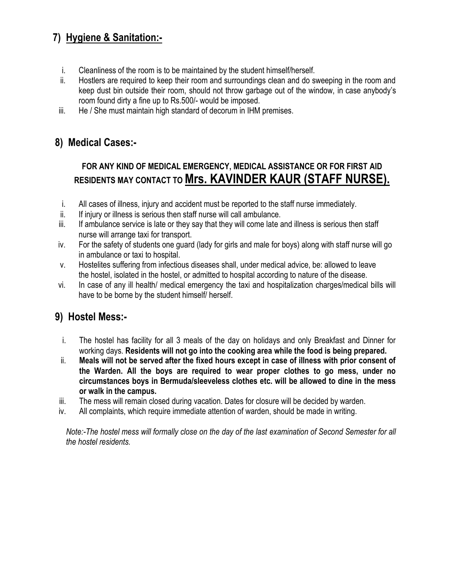### **7) Hygiene & Sanitation:-**

- i. Cleanliness of the room is to be maintained by the student himself/herself.
- ii. Hostlers are required to keep their room and surroundings clean and do sweeping in the room and keep dust bin outside their room, should not throw garbage out of the window, in case anybody's room found dirty a fine up to Rs.500/- would be imposed.
- iii. He / She must maintain high standard of decorum in IHM premises.

#### **8) Medical Cases:-**

### **FOR ANY KIND OF MEDICAL EMERGENCY, MEDICAL ASSISTANCE OR FOR FIRST AID RESIDENTS MAY CONTACT TO Mrs. KAVINDER KAUR (STAFF NURSE).**

- i. All cases of illness, injury and accident must be reported to the staff nurse immediately.
- ii. If injury or illness is serious then staff nurse will call ambulance.
- iii. If ambulance service is late or they say that they will come late and illness is serious then staff nurse will arrange taxi for transport.
- iv. For the safety of students one guard (lady for girls and male for boys) along with staff nurse will go in ambulance or taxi to hospital.
- v. Hostelites suffering from infectious diseases shall, under medical advice, be: allowed to leave the hostel, isolated in the hostel, or admitted to hospital according to nature of the disease.
- vi. In case of any ill health/ medical emergency the taxi and hospitalization charges/medical bills will have to be borne by the student himself/ herself.

#### **9) Hostel Mess:-**

- i. The hostel has facility for all 3 meals of the day on holidays and only Breakfast and Dinner for working days. **Residents will not go into the cooking area while the food is being prepared.**
- ii. **Meals will not be served after the fixed hours except in case of illness with prior consent of the Warden. All the boys are required to wear proper clothes to go mess, under no circumstances boys in Bermuda/sleeveless clothes etc. will be allowed to dine in the mess or walk in the campus.**
- iii. The mess will remain closed during vacation. Dates for closure will be decided by warden.
- iv. All complaints, which require immediate attention of warden, should be made in writing.

*Note:-The hostel mess will formally close on the day of the last examination of Second Semester for all the hostel residents.*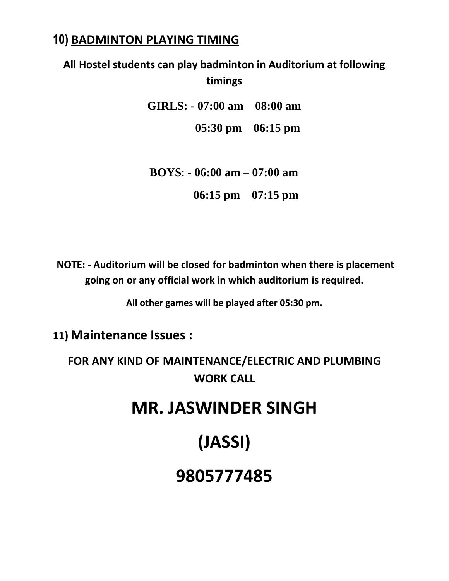## **10) BADMINTON PLAYING TIMING**

## **All Hostel students can play badminton in Auditorium at following timings**

**GIRLS: - 07:00 am – 08:00 am**

 **05:30 pm – 06:15 pm**

 **BOYS**: - **06:00 am – 07:00 am 06:15 pm – 07:15 pm**

**NOTE: - Auditorium will be closed for badminton when there is placement going on or any official work in which auditorium is required.**

**All other games will be played after 05:30 pm.**

**11) Maintenance Issues :** 

**FOR ANY KIND OF MAINTENANCE/ELECTRIC AND PLUMBING WORK CALL**

## **MR. JASWINDER SINGH**

## **(JASSI)**

## **9805777485**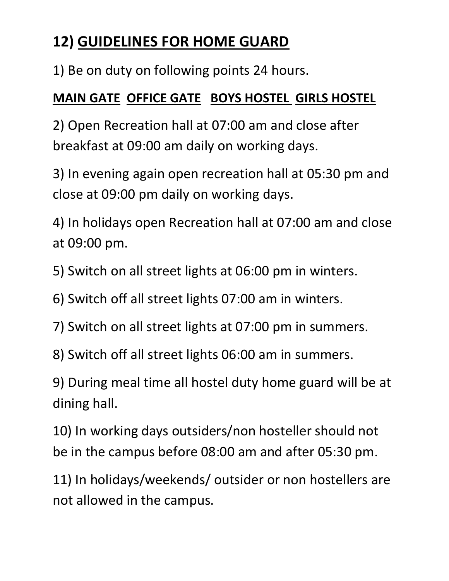## **12) GUIDELINES FOR HOME GUARD**

1) Be on duty on following points 24 hours.

## **MAIN GATE OFFICE GATE BOYS HOSTEL GIRLS HOSTEL**

2) Open Recreation hall at 07:00 am and close after breakfast at 09:00 am daily on working days.

3) In evening again open recreation hall at 05:30 pm and close at 09:00 pm daily on working days.

4) In holidays open Recreation hall at 07:00 am and close at 09:00 pm.

5) Switch on all street lights at 06:00 pm in winters.

- 6) Switch off all street lights 07:00 am in winters.
- 7) Switch on all street lights at 07:00 pm in summers.
- 8) Switch off all street lights 06:00 am in summers.

9) During meal time all hostel duty home guard will be at dining hall.

10) In working days outsiders/non hosteller should not be in the campus before 08:00 am and after 05:30 pm.

11) In holidays/weekends/ outsider or non hostellers are not allowed in the campus.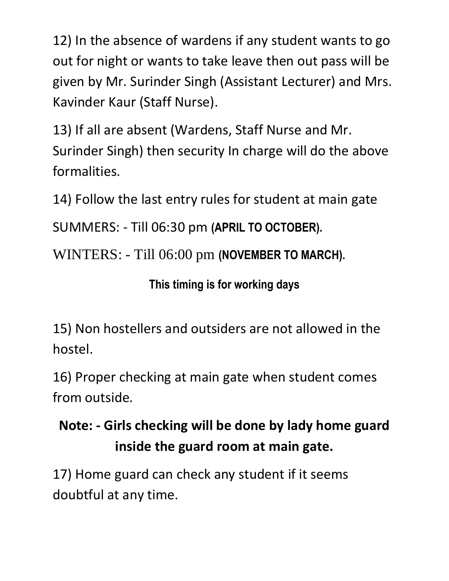12) In the absence of wardens if any student wants to go out for night or wants to take leave then out pass will be given by Mr. Surinder Singh (Assistant Lecturer) and Mrs. Kavinder Kaur (Staff Nurse).

13) If all are absent (Wardens, Staff Nurse and Mr. Surinder Singh) then security In charge will do the above formalities.

14) Follow the last entry rules for student at main gate

SUMMERS: - Till 06:30 pm **(APRIL TO OCTOBER).**

WINTERS: - Till 06:00 pm **(NOVEMBER TO MARCH).**

**This timing is for working days**

15) Non hostellers and outsiders are not allowed in the hostel.

16) Proper checking at main gate when student comes from outside.

## **Note: - Girls checking will be done by lady home guard inside the guard room at main gate.**

17) Home guard can check any student if it seems doubtful at any time.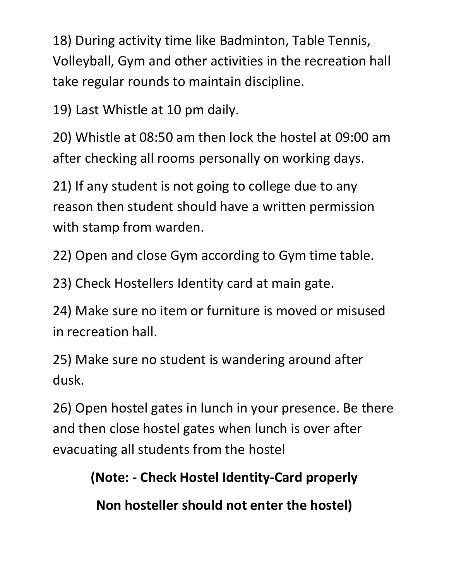18) During activity time like Badminton, Table Tennis, Volleyball, Gym and other activities in the recreation hall take regular rounds to maintain discipline.

19) Last Whistle at 10 pm daily.

20) Whistle at 08:50 am then lock the hostel at 09:00 am after checking all rooms personally on working days.

21) If any student is not going to college due to any reason then student should have a written permission with stamp from warden.

22) Open and close Gym according to Gym time table.

23) Check Hostellers Identity card at main gate.

24) Make sure no item or furniture is moved or misused in recreation hall.

25) Make sure no student is wandering around after dusk.

26) Open hostel gates in lunch in your presence. Be there and then close hostel gates when lunch is over after evacuating all students from the hostel

**(Note: - Check Hostel Identity-Card properly** 

**Non hosteller should not enter the hostel)**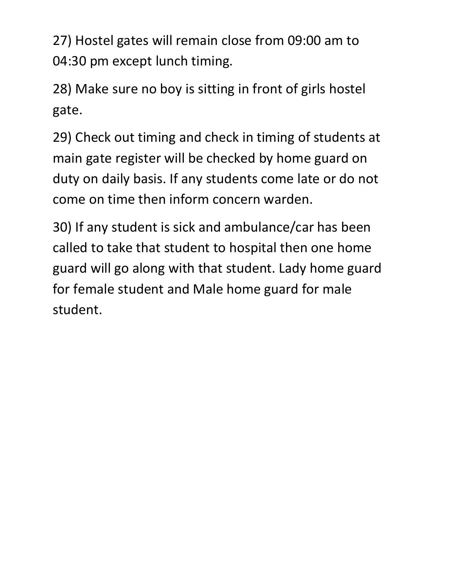27) Hostel gates will remain close from 09:00 am to 04:30 pm except lunch timing.

28) Make sure no boy is sitting in front of girls hostel gate.

29) Check out timing and check in timing of students at main gate register will be checked by home guard on duty on daily basis. If any students come late or do not come on time then inform concern warden.

30) If any student is sick and ambulance/car has been called to take that student to hospital then one home guard will go along with that student. Lady home guard for female student and Male home guard for male student.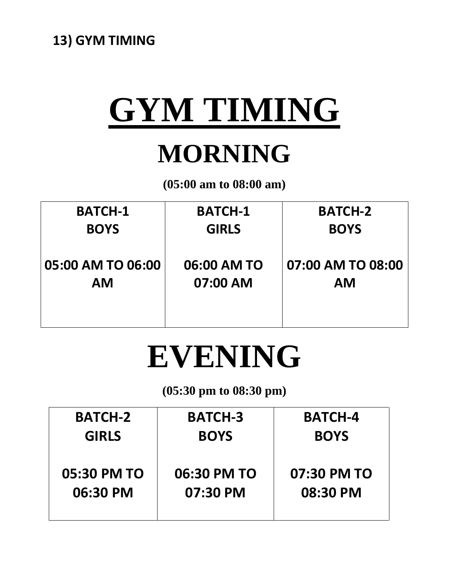# **GYM TIMING**

## **MORNING**

**(05:00 am to 08:00 am)**

| <b>BATCH-1</b>    | <b>BATCH-1</b> | <b>BATCH-2</b>    |
|-------------------|----------------|-------------------|
| <b>BOYS</b>       | <b>GIRLS</b>   | <b>BOYS</b>       |
|                   |                |                   |
| 05:00 AM TO 06:00 | 06:00 AM TO    | 07:00 AM TO 08:00 |
| <b>AM</b>         | 07:00 AM       | <b>AM</b>         |
|                   |                |                   |
|                   |                |                   |

## **EVENING**

## **(05:30 pm to 08:30 pm)**

| <b>BATCH-2</b> | <b>BATCH-3</b> | <b>BATCH-4</b> |  |
|----------------|----------------|----------------|--|
| <b>GIRLS</b>   | <b>BOYS</b>    | <b>BOYS</b>    |  |
| 05:30 PM TO    | 06:30 PM TO    | 07:30 PM TO    |  |
| 06:30 PM       | 07:30 PM       | 08:30 PM       |  |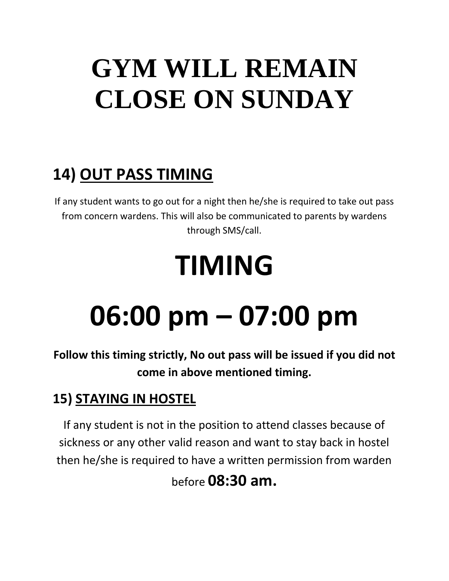## **GYM WILL REMAIN CLOSE ON SUNDAY**

## **14) OUT PASS TIMING**

If any student wants to go out for a night then he/she is required to take out pass from concern wardens. This will also be communicated to parents by wardens through SMS/call.

## **TIMING**

## **06:00 pm – 07:00 pm**

**Follow this timing strictly, No out pass will be issued if you did not come in above mentioned timing.**

## **15) STAYING IN HOSTEL**

If any student is not in the position to attend classes because of sickness or any other valid reason and want to stay back in hostel then he/she is required to have a written permission from warden

before **08:30 am.**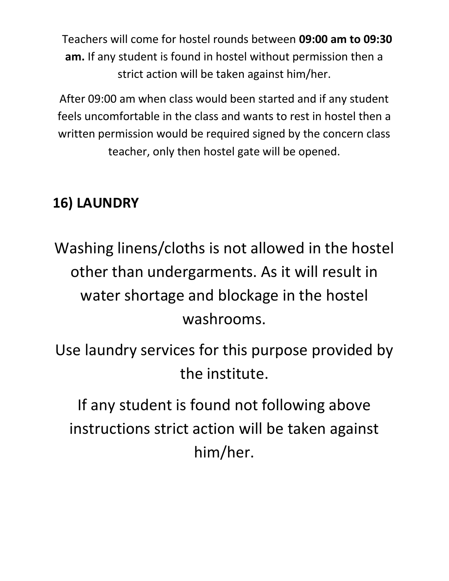Teachers will come for hostel rounds between **09:00 am to 09:30 am.** If any student is found in hostel without permission then a strict action will be taken against him/her.

After 09:00 am when class would been started and if any student feels uncomfortable in the class and wants to rest in hostel then a written permission would be required signed by the concern class teacher, only then hostel gate will be opened.

## **16) LAUNDRY**

Washing linens/cloths is not allowed in the hostel other than undergarments. As it will result in water shortage and blockage in the hostel washrooms.

Use laundry services for this purpose provided by the institute.

If any student is found not following above instructions strict action will be taken against him/her.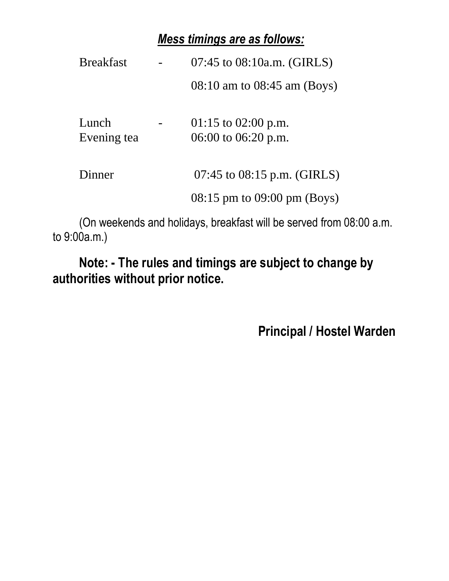## *Mess timings are as follows:*

| <b>Breakfast</b>     | $07:45$ to $08:10a.m.$ (GIRLS)                  |
|----------------------|-------------------------------------------------|
|                      | $08:10$ am to $08:45$ am (Boys)                 |
| Lunch<br>Evening tea | 01:15 to 02:00 p.m.<br>06:00 to 06:20 p.m.      |
| Dinner               | 07:45 to $08:15$ p.m. (GIRLS)                   |
|                      | $08:15 \text{ pm}$ to $09:00 \text{ pm}$ (Boys) |

(On weekends and holidays, breakfast will be served from 08:00 a.m. to 9:00a.m.)

**Note: - The rules and timings are subject to change by authorities without prior notice.**

**Principal / Hostel Warden**